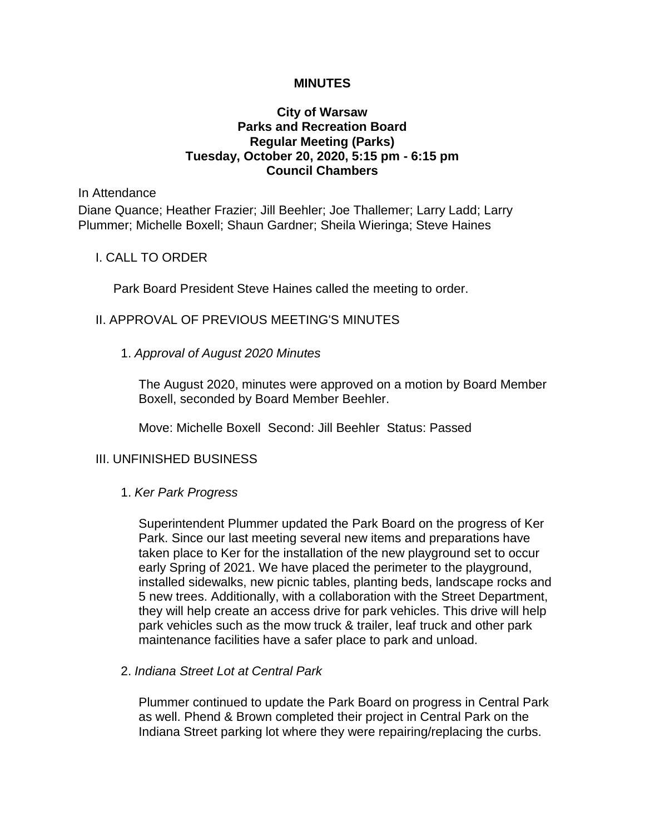## **MINUTES**

# **City of Warsaw Parks and Recreation Board Regular Meeting (Parks) Tuesday, October 20, 2020, 5:15 pm - 6:15 pm Council Chambers**

#### In Attendance

Diane Quance; Heather Frazier; Jill Beehler; Joe Thallemer; Larry Ladd; Larry Plummer; Michelle Boxell; Shaun Gardner; Sheila Wieringa; Steve Haines

## I. CALL TO ORDER

Park Board President Steve Haines called the meeting to order.

# II. APPROVAL OF PREVIOUS MEETING'S MINUTES

# 1. *Approval of August 2020 Minutes*

The August 2020, minutes were approved on a motion by Board Member Boxell, seconded by Board Member Beehler.

Move: Michelle Boxell Second: Jill Beehler Status: Passed

# III. UNFINISHED BUSINESS

## 1. *Ker Park Progress*

Superintendent Plummer updated the Park Board on the progress of Ker Park. Since our last meeting several new items and preparations have taken place to Ker for the installation of the new playground set to occur early Spring of 2021. We have placed the perimeter to the playground, installed sidewalks, new picnic tables, planting beds, landscape rocks and 5 new trees. Additionally, with a collaboration with the Street Department, they will help create an access drive for park vehicles. This drive will help park vehicles such as the mow truck & trailer, leaf truck and other park maintenance facilities have a safer place to park and unload.

## 2. *Indiana Street Lot at Central Park*

Plummer continued to update the Park Board on progress in Central Park as well. Phend & Brown completed their project in Central Park on the Indiana Street parking lot where they were repairing/replacing the curbs.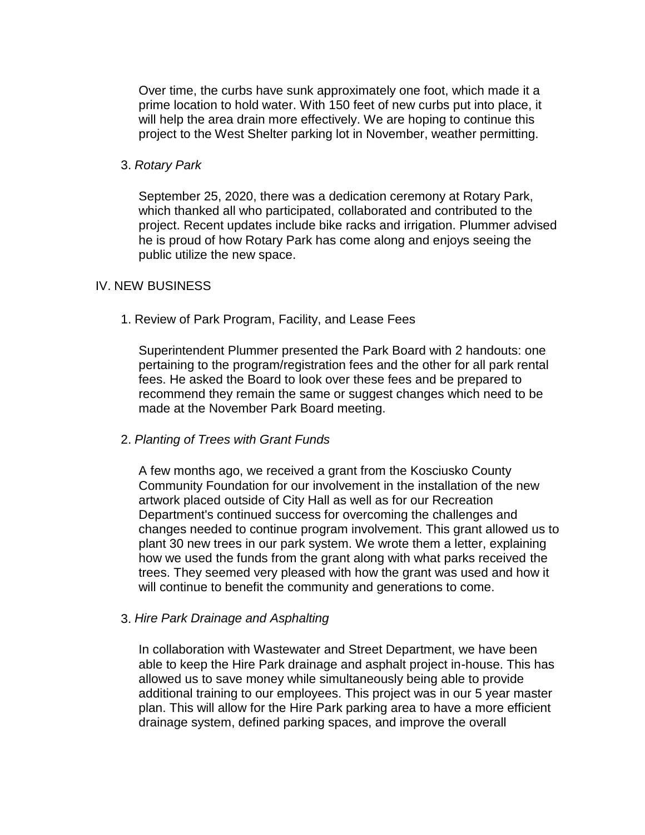Over time, the curbs have sunk approximately one foot, which made it a prime location to hold water. With 150 feet of new curbs put into place, it will help the area drain more effectively. We are hoping to continue this project to the West Shelter parking lot in November, weather permitting.

## 3. *Rotary Park*

September 25, 2020, there was a dedication ceremony at Rotary Park, which thanked all who participated, collaborated and contributed to the project. Recent updates include bike racks and irrigation. Plummer advised he is proud of how Rotary Park has come along and enjoys seeing the public utilize the new space.

# IV. NEW BUSINESS

1. Review of Park Program, Facility, and Lease Fees

Superintendent Plummer presented the Park Board with 2 handouts: one pertaining to the program/registration fees and the other for all park rental fees. He asked the Board to look over these fees and be prepared to recommend they remain the same or suggest changes which need to be made at the November Park Board meeting.

## 2. *Planting of Trees with Grant Funds*

A few months ago, we received a grant from the Kosciusko County Community Foundation for our involvement in the installation of the new artwork placed outside of City Hall as well as for our Recreation Department's continued success for overcoming the challenges and changes needed to continue program involvement. This grant allowed us to plant 30 new trees in our park system. We wrote them a letter, explaining how we used the funds from the grant along with what parks received the trees. They seemed very pleased with how the grant was used and how it will continue to benefit the community and generations to come.

## 3. *Hire Park Drainage and Asphalting*

In collaboration with Wastewater and Street Department, we have been able to keep the Hire Park drainage and asphalt project in-house. This has allowed us to save money while simultaneously being able to provide additional training to our employees. This project was in our 5 year master plan. This will allow for the Hire Park parking area to have a more efficient drainage system, defined parking spaces, and improve the overall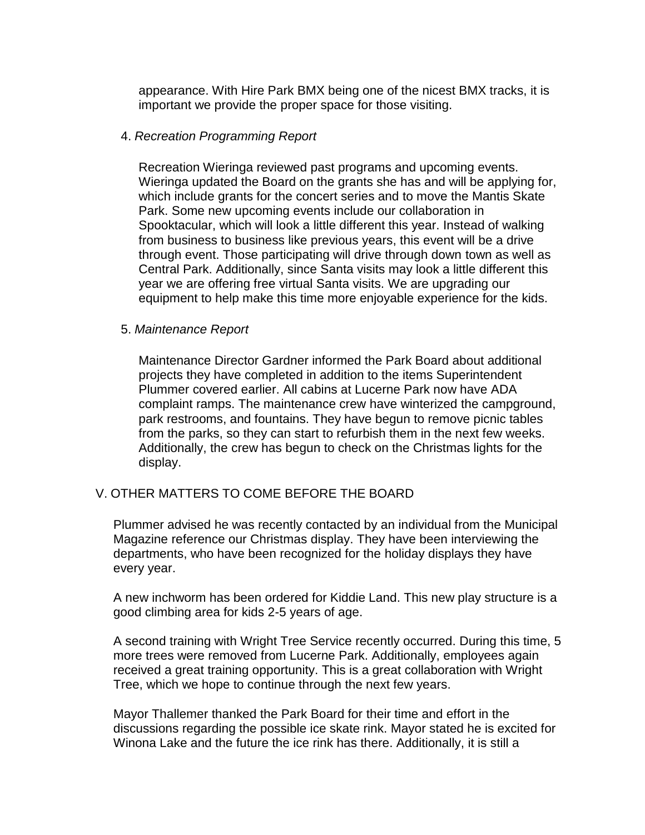appearance. With Hire Park BMX being one of the nicest BMX tracks, it is important we provide the proper space for those visiting.

#### 4. *Recreation Programming Report*

Recreation Wieringa reviewed past programs and upcoming events. Wieringa updated the Board on the grants she has and will be applying for, which include grants for the concert series and to move the Mantis Skate Park. Some new upcoming events include our collaboration in Spooktacular, which will look a little different this year. Instead of walking from business to business like previous years, this event will be a drive through event. Those participating will drive through down town as well as Central Park. Additionally, since Santa visits may look a little different this year we are offering free virtual Santa visits. We are upgrading our equipment to help make this time more enjoyable experience for the kids.

#### 5. *Maintenance Report*

Maintenance Director Gardner informed the Park Board about additional projects they have completed in addition to the items Superintendent Plummer covered earlier. All cabins at Lucerne Park now have ADA complaint ramps. The maintenance crew have winterized the campground, park restrooms, and fountains. They have begun to remove picnic tables from the parks, so they can start to refurbish them in the next few weeks. Additionally, the crew has begun to check on the Christmas lights for the display.

## V. OTHER MATTERS TO COME BEFORE THE BOARD

Plummer advised he was recently contacted by an individual from the Municipal Magazine reference our Christmas display. They have been interviewing the departments, who have been recognized for the holiday displays they have every year.

A new inchworm has been ordered for Kiddie Land. This new play structure is a good climbing area for kids 2-5 years of age.

A second training with Wright Tree Service recently occurred. During this time, 5 more trees were removed from Lucerne Park. Additionally, employees again received a great training opportunity. This is a great collaboration with Wright Tree, which we hope to continue through the next few years.

Mayor Thallemer thanked the Park Board for their time and effort in the discussions regarding the possible ice skate rink. Mayor stated he is excited for Winona Lake and the future the ice rink has there. Additionally, it is still a